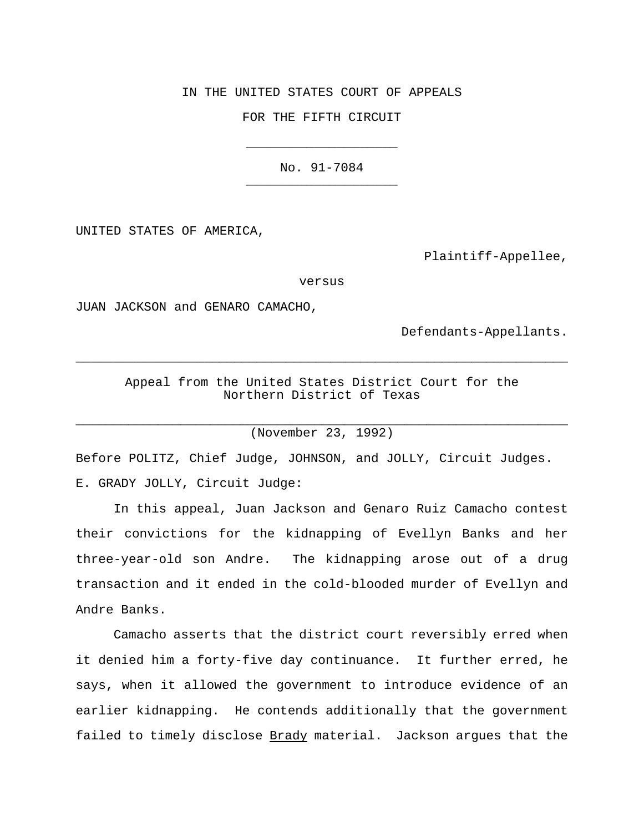IN THE UNITED STATES COURT OF APPEALS

FOR THE FIFTH CIRCUIT

\_\_\_\_\_\_\_\_\_\_\_\_\_\_\_\_\_\_\_\_

No. 91-7084 \_\_\_\_\_\_\_\_\_\_\_\_\_\_\_\_\_\_\_\_

UNITED STATES OF AMERICA,

Plaintiff-Appellee,

versus

JUAN JACKSON and GENARO CAMACHO,

Defendants-Appellants.

Appeal from the United States District Court for the Northern District of Texas

 $\overline{\phantom{a}}$  , and the contribution of the contribution of the contribution of the contribution of the contribution of the contribution of the contribution of the contribution of the contribution of the contribution of the

 $\_$  , and the set of the set of the set of the set of the set of the set of the set of the set of the set of the set of the set of the set of the set of the set of the set of the set of the set of the set of the set of th (November 23, 1992)

Before POLITZ, Chief Judge, JOHNSON, and JOLLY, Circuit Judges.

E. GRADY JOLLY, Circuit Judge:

In this appeal, Juan Jackson and Genaro Ruiz Camacho contest their convictions for the kidnapping of Evellyn Banks and her three-year-old son Andre. The kidnapping arose out of a drug transaction and it ended in the cold-blooded murder of Evellyn and Andre Banks.

Camacho asserts that the district court reversibly erred when it denied him a forty-five day continuance. It further erred, he says, when it allowed the government to introduce evidence of an earlier kidnapping. He contends additionally that the government failed to timely disclose Brady material. Jackson argues that the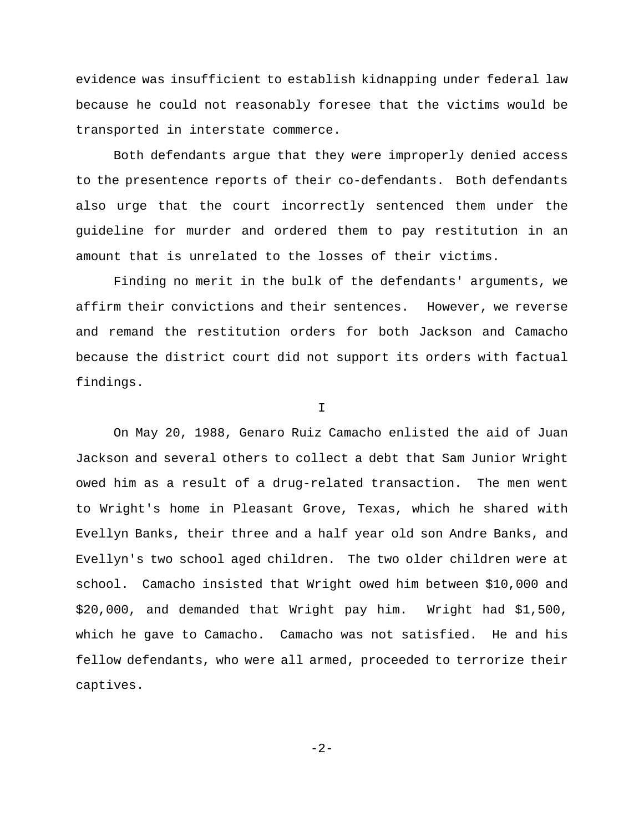evidence was insufficient to establish kidnapping under federal law because he could not reasonably foresee that the victims would be transported in interstate commerce.

Both defendants argue that they were improperly denied access to the presentence reports of their co-defendants. Both defendants also urge that the court incorrectly sentenced them under the guideline for murder and ordered them to pay restitution in an amount that is unrelated to the losses of their victims.

Finding no merit in the bulk of the defendants' arguments, we affirm their convictions and their sentences. However, we reverse and remand the restitution orders for both Jackson and Camacho because the district court did not support its orders with factual findings.

I

On May 20, 1988, Genaro Ruiz Camacho enlisted the aid of Juan Jackson and several others to collect a debt that Sam Junior Wright owed him as a result of a drug-related transaction. The men went to Wright's home in Pleasant Grove, Texas, which he shared with Evellyn Banks, their three and a half year old son Andre Banks, and Evellyn's two school aged children. The two older children were at school. Camacho insisted that Wright owed him between \$10,000 and \$20,000, and demanded that Wright pay him. Wright had \$1,500, which he gave to Camacho. Camacho was not satisfied. He and his fellow defendants, who were all armed, proceeded to terrorize their captives.

 $-2-$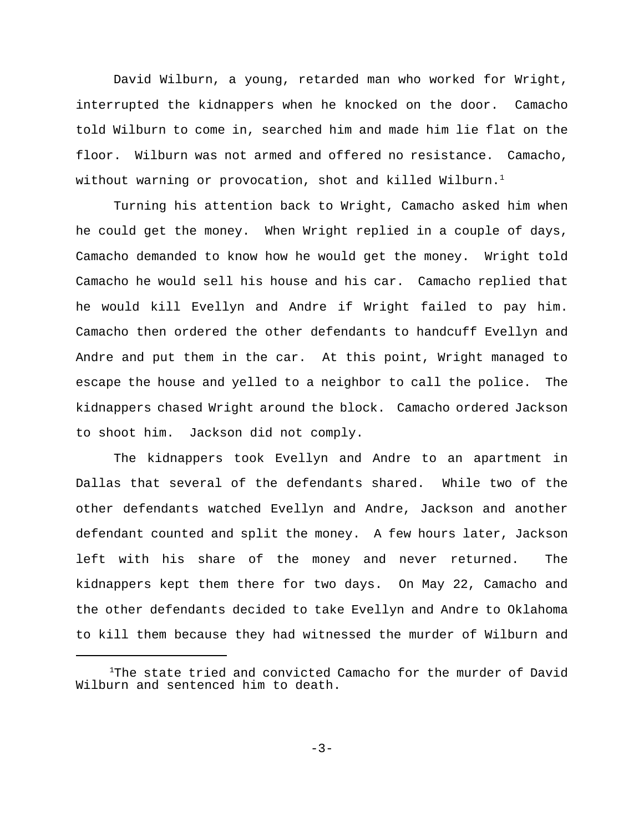David Wilburn, a young, retarded man who worked for Wright, interrupted the kidnappers when he knocked on the door. Camacho told Wilburn to come in, searched him and made him lie flat on the floor. Wilburn was not armed and offered no resistance. Camacho, without warning or provocation, shot and killed Wilburn.<sup>1</sup>

Turning his attention back to Wright, Camacho asked him when he could get the money. When Wright replied in a couple of days, Camacho demanded to know how he would get the money. Wright told Camacho he would sell his house and his car. Camacho replied that he would kill Evellyn and Andre if Wright failed to pay him. Camacho then ordered the other defendants to handcuff Evellyn and Andre and put them in the car. At this point, Wright managed to escape the house and yelled to a neighbor to call the police. The kidnappers chased Wright around the block. Camacho ordered Jackson to shoot him. Jackson did not comply.

The kidnappers took Evellyn and Andre to an apartment in Dallas that several of the defendants shared. While two of the other defendants watched Evellyn and Andre, Jackson and another defendant counted and split the money. A few hours later, Jackson left with his share of the money and never returned. The kidnappers kept them there for two days. On May 22, Camacho and the other defendants decided to take Evellyn and Andre to Oklahoma to kill them because they had witnessed the murder of Wilburn and

 $1$ The state tried and convicted Camacho for the murder of David Wilburn and sentenced him to death.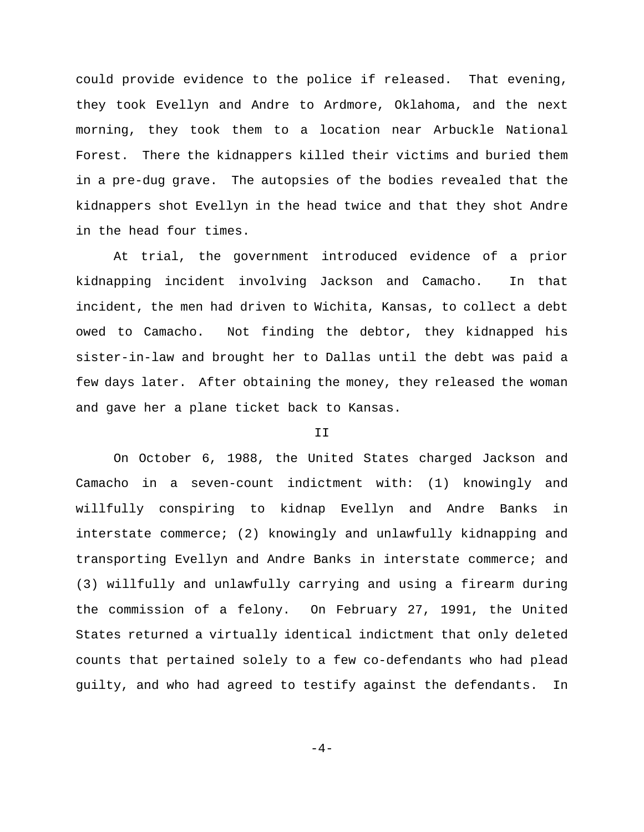could provide evidence to the police if released. That evening, they took Evellyn and Andre to Ardmore, Oklahoma, and the next morning, they took them to a location near Arbuckle National Forest. There the kidnappers killed their victims and buried them in a pre-dug grave. The autopsies of the bodies revealed that the kidnappers shot Evellyn in the head twice and that they shot Andre in the head four times.

At trial, the government introduced evidence of a prior kidnapping incident involving Jackson and Camacho. In that incident, the men had driven to Wichita, Kansas, to collect a debt owed to Camacho. Not finding the debtor, they kidnapped his sister-in-law and brought her to Dallas until the debt was paid a few days later. After obtaining the money, they released the woman and gave her a plane ticket back to Kansas.

### T<sub>T</sub>

On October 6, 1988, the United States charged Jackson and Camacho in a seven-count indictment with: (1) knowingly and willfully conspiring to kidnap Evellyn and Andre Banks in interstate commerce; (2) knowingly and unlawfully kidnapping and transporting Evellyn and Andre Banks in interstate commerce; and (3) willfully and unlawfully carrying and using a firearm during the commission of a felony. On February 27, 1991, the United States returned a virtually identical indictment that only deleted counts that pertained solely to a few co-defendants who had plead guilty, and who had agreed to testify against the defendants. In

 $-4-$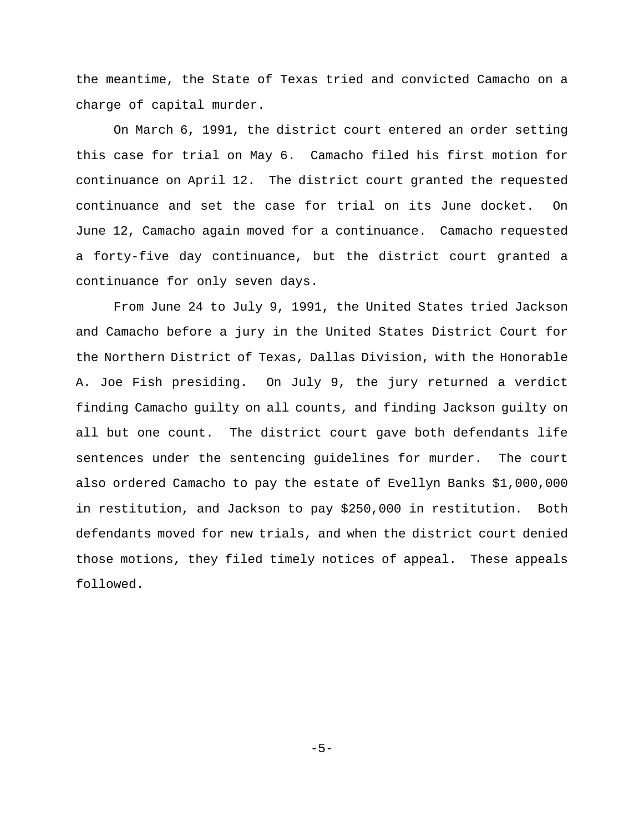the meantime, the State of Texas tried and convicted Camacho on a charge of capital murder.

On March 6, 1991, the district court entered an order setting this case for trial on May 6. Camacho filed his first motion for continuance on April 12. The district court granted the requested continuance and set the case for trial on its June docket. On June 12, Camacho again moved for a continuance. Camacho requested a forty-five day continuance, but the district court granted a continuance for only seven days.

From June 24 to July 9, 1991, the United States tried Jackson and Camacho before a jury in the United States District Court for the Northern District of Texas, Dallas Division, with the Honorable A. Joe Fish presiding. On July 9, the jury returned a verdict finding Camacho guilty on all counts, and finding Jackson guilty on all but one count. The district court gave both defendants life sentences under the sentencing guidelines for murder. The court also ordered Camacho to pay the estate of Evellyn Banks \$1,000,000 in restitution, and Jackson to pay \$250,000 in restitution. Both defendants moved for new trials, and when the district court denied those motions, they filed timely notices of appeal. These appeals followed.

-5-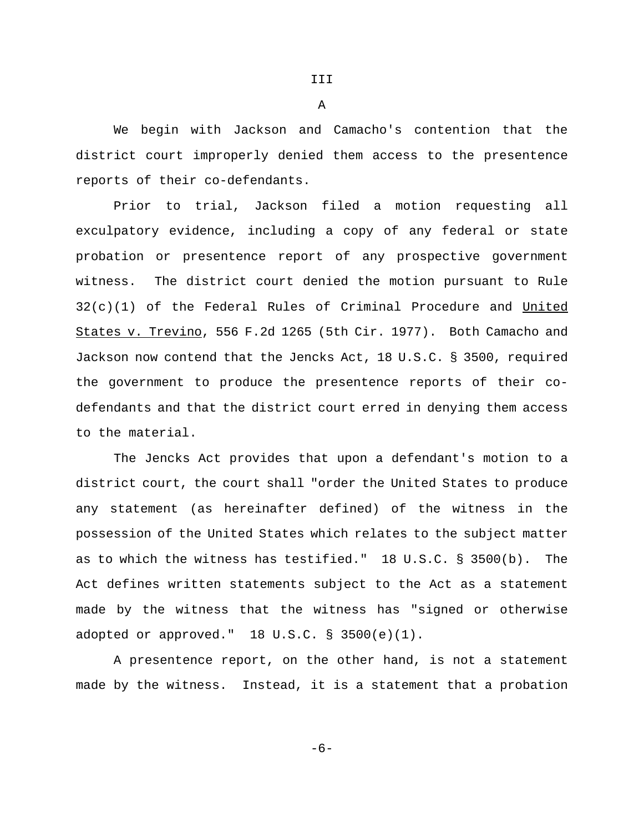We begin with Jackson and Camacho's contention that the district court improperly denied them access to the presentence reports of their co-defendants.

Prior to trial, Jackson filed a motion requesting all exculpatory evidence, including a copy of any federal or state probation or presentence report of any prospective government witness. The district court denied the motion pursuant to Rule 32(c)(1) of the Federal Rules of Criminal Procedure and United States v. Trevino, 556 F.2d 1265 (5th Cir. 1977). Both Camacho and Jackson now contend that the Jencks Act, 18 U.S.C. § 3500, required the government to produce the presentence reports of their codefendants and that the district court erred in denying them access to the material.

The Jencks Act provides that upon a defendant's motion to a district court, the court shall "order the United States to produce any statement (as hereinafter defined) of the witness in the possession of the United States which relates to the subject matter as to which the witness has testified." 18 U.S.C. § 3500(b). The Act defines written statements subject to the Act as a statement made by the witness that the witness has "signed or otherwise adopted or approved." 18 U.S.C. § 3500(e)(1).

A presentence report, on the other hand, is not a statement made by the witness. Instead, it is a statement that a probation

-6-

III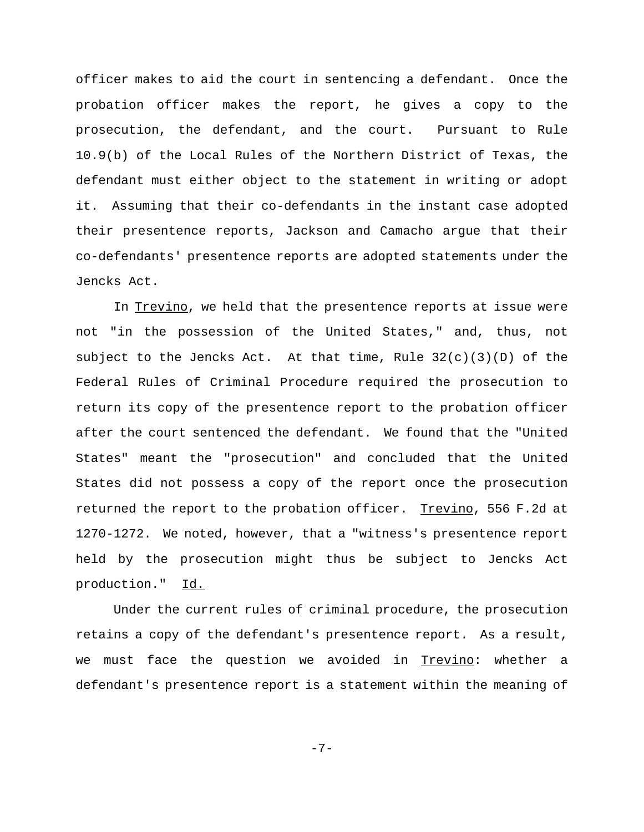officer makes to aid the court in sentencing a defendant. Once the probation officer makes the report, he gives a copy to the prosecution, the defendant, and the court. Pursuant to Rule 10.9(b) of the Local Rules of the Northern District of Texas, the defendant must either object to the statement in writing or adopt it. Assuming that their co-defendants in the instant case adopted their presentence reports, Jackson and Camacho argue that their co-defendants' presentence reports are adopted statements under the Jencks Act.

In Trevino, we held that the presentence reports at issue were not "in the possession of the United States," and, thus, not subject to the Jencks Act. At that time, Rule  $32(c)(3)(D)$  of the Federal Rules of Criminal Procedure required the prosecution to return its copy of the presentence report to the probation officer after the court sentenced the defendant. We found that the "United States" meant the "prosecution" and concluded that the United States did not possess a copy of the report once the prosecution returned the report to the probation officer. Trevino, 556 F.2d at 1270-1272. We noted, however, that a "witness's presentence report held by the prosecution might thus be subject to Jencks Act production." Id.

Under the current rules of criminal procedure, the prosecution retains a copy of the defendant's presentence report. As a result, we must face the question we avoided in Trevino: whether a defendant's presentence report is a statement within the meaning of

$$
-\,7\,-
$$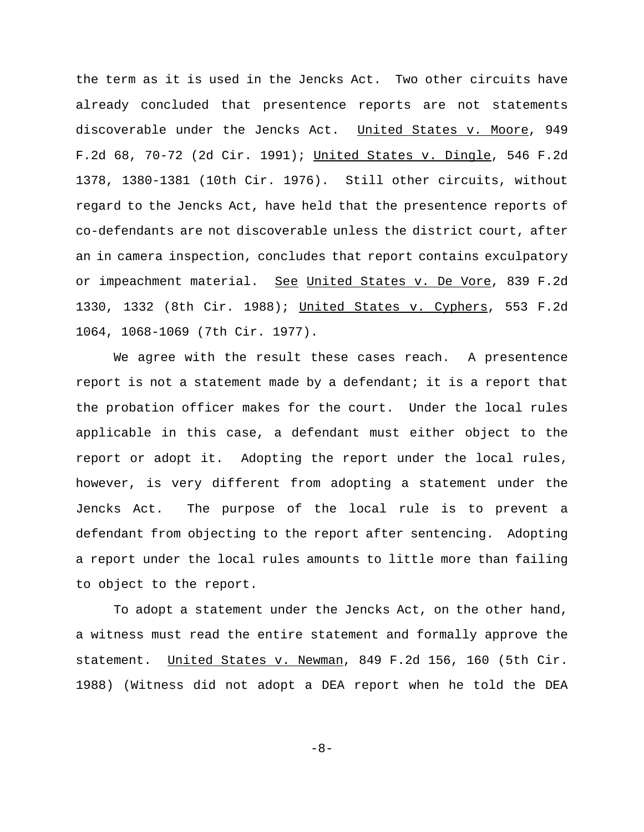the term as it is used in the Jencks Act. Two other circuits have already concluded that presentence reports are not statements discoverable under the Jencks Act. United States v. Moore, 949 F.2d 68, 70-72 (2d Cir. 1991); United States v. Dingle, 546 F.2d 1378, 1380-1381 (10th Cir. 1976). Still other circuits, without regard to the Jencks Act, have held that the presentence reports of co-defendants are not discoverable unless the district court, after an in camera inspection, concludes that report contains exculpatory or impeachment material. See United States v. De Vore, 839 F.2d 1330, 1332 (8th Cir. 1988); United States v. Cyphers, 553 F.2d 1064, 1068-1069 (7th Cir. 1977).

We agree with the result these cases reach. A presentence report is not a statement made by a defendant; it is a report that the probation officer makes for the court. Under the local rules applicable in this case, a defendant must either object to the report or adopt it. Adopting the report under the local rules, however, is very different from adopting a statement under the Jencks Act. The purpose of the local rule is to prevent a defendant from objecting to the report after sentencing. Adopting a report under the local rules amounts to little more than failing to object to the report.

To adopt a statement under the Jencks Act, on the other hand, a witness must read the entire statement and formally approve the statement. United States v. Newman, 849 F.2d 156, 160 (5th Cir. 1988) (Witness did not adopt a DEA report when he told the DEA

$$
-\,8\,-\,
$$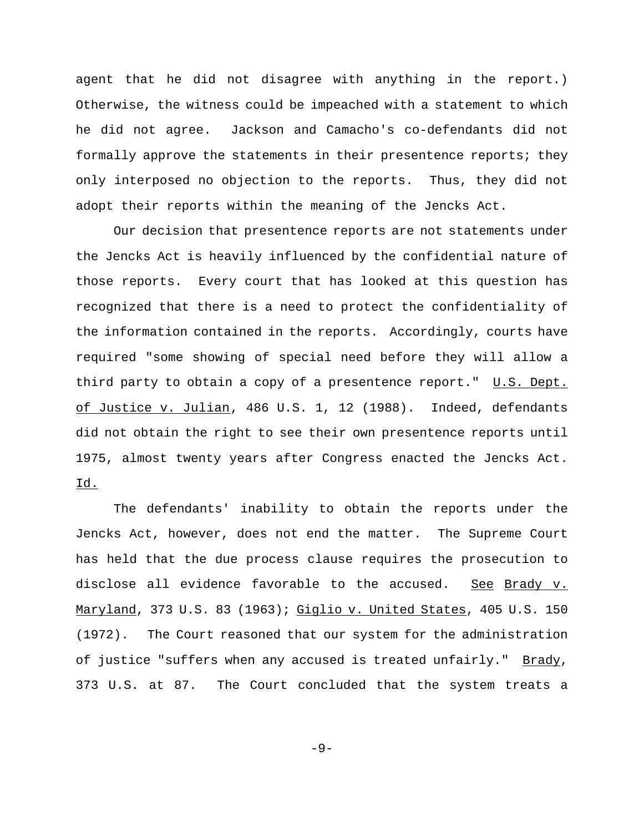agent that he did not disagree with anything in the report.) Otherwise, the witness could be impeached with a statement to which he did not agree. Jackson and Camacho's co-defendants did not formally approve the statements in their presentence reports; they only interposed no objection to the reports. Thus, they did not adopt their reports within the meaning of the Jencks Act.

Our decision that presentence reports are not statements under the Jencks Act is heavily influenced by the confidential nature of those reports. Every court that has looked at this question has recognized that there is a need to protect the confidentiality of the information contained in the reports. Accordingly, courts have required "some showing of special need before they will allow a third party to obtain a copy of a presentence report." U.S. Dept. of Justice v. Julian, 486 U.S. 1, 12 (1988). Indeed, defendants did not obtain the right to see their own presentence reports until 1975, almost twenty years after Congress enacted the Jencks Act. Id.

The defendants' inability to obtain the reports under the Jencks Act, however, does not end the matter. The Supreme Court has held that the due process clause requires the prosecution to disclose all evidence favorable to the accused. See Brady v. Maryland, 373 U.S. 83 (1963); Giglio v. United States, 405 U.S. 150 (1972). The Court reasoned that our system for the administration of justice "suffers when any accused is treated unfairly." Brady, 373 U.S. at 87. The Court concluded that the system treats a

-9-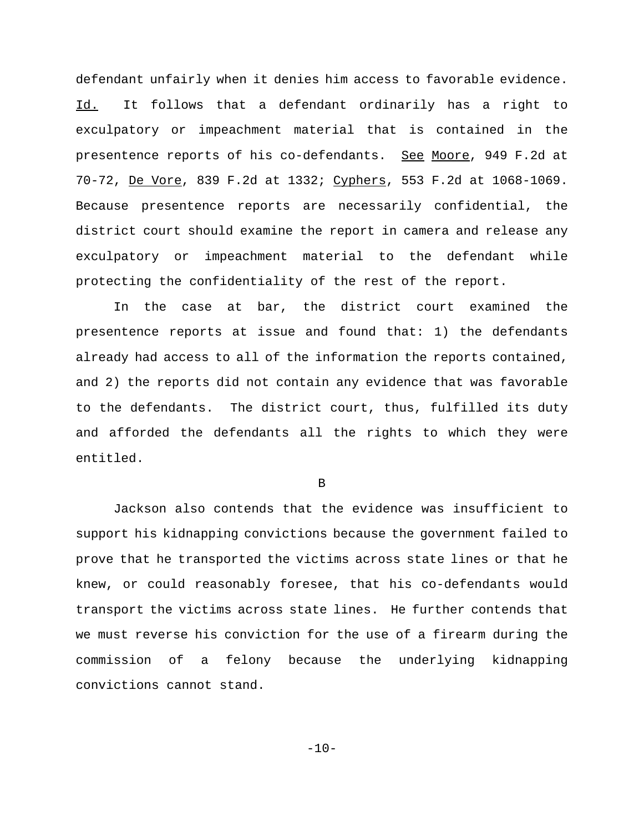defendant unfairly when it denies him access to favorable evidence. Id. It follows that a defendant ordinarily has a right to exculpatory or impeachment material that is contained in the presentence reports of his co-defendants. See Moore, 949 F.2d at 70-72, De Vore, 839 F.2d at 1332; Cyphers, 553 F.2d at 1068-1069. Because presentence reports are necessarily confidential, the district court should examine the report in camera and release any exculpatory or impeachment material to the defendant while protecting the confidentiality of the rest of the report.

In the case at bar, the district court examined the presentence reports at issue and found that: 1) the defendants already had access to all of the information the reports contained, and 2) the reports did not contain any evidence that was favorable to the defendants. The district court, thus, fulfilled its duty and afforded the defendants all the rights to which they were entitled.

B

Jackson also contends that the evidence was insufficient to support his kidnapping convictions because the government failed to prove that he transported the victims across state lines or that he knew, or could reasonably foresee, that his co-defendants would transport the victims across state lines. He further contends that we must reverse his conviction for the use of a firearm during the commission of a felony because the underlying kidnapping convictions cannot stand.

 $-10-$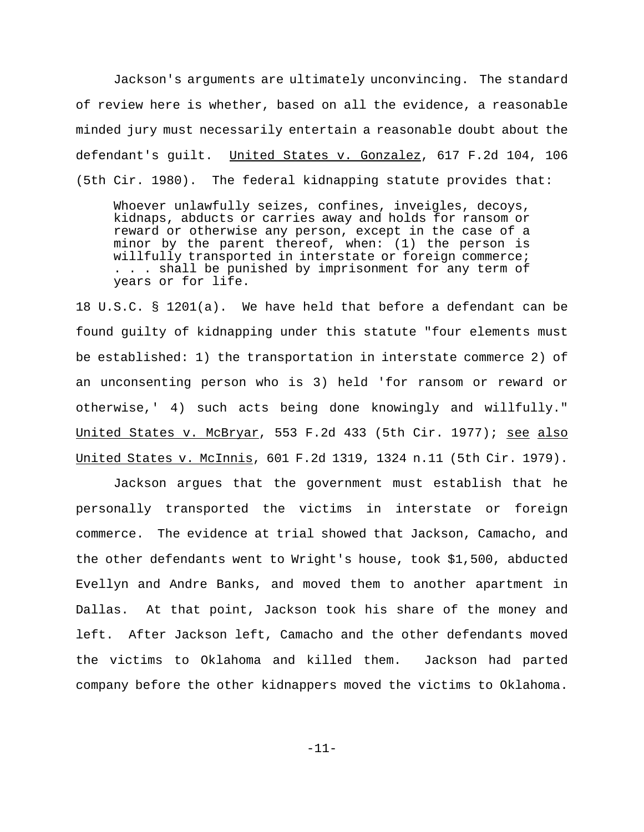Jackson's arguments are ultimately unconvincing. The standard of review here is whether, based on all the evidence, a reasonable minded jury must necessarily entertain a reasonable doubt about the defendant's guilt. United States v. Gonzalez, 617 F.2d 104, 106 (5th Cir. 1980). The federal kidnapping statute provides that:

Whoever unlawfully seizes, confines, inveigles, decoys, kidnaps, abducts or carries away and holds for ransom or reward or otherwise any person, except in the case of a minor by the parent thereof, when: (1) the person is willfully transported in interstate or foreign commerce; . . . shall be punished by imprisonment for any term of years or for life.

18 U.S.C. § 1201(a). We have held that before a defendant can be found guilty of kidnapping under this statute "four elements must be established: 1) the transportation in interstate commerce 2) of an unconsenting person who is 3) held 'for ransom or reward or otherwise,' 4) such acts being done knowingly and willfully." United States v. McBryar, 553 F.2d 433 (5th Cir. 1977); see also United States v. McInnis, 601 F.2d 1319, 1324 n.11 (5th Cir. 1979).

Jackson argues that the government must establish that he personally transported the victims in interstate or foreign commerce. The evidence at trial showed that Jackson, Camacho, and the other defendants went to Wright's house, took \$1,500, abducted Evellyn and Andre Banks, and moved them to another apartment in Dallas. At that point, Jackson took his share of the money and left. After Jackson left, Camacho and the other defendants moved the victims to Oklahoma and killed them. Jackson had parted company before the other kidnappers moved the victims to Oklahoma.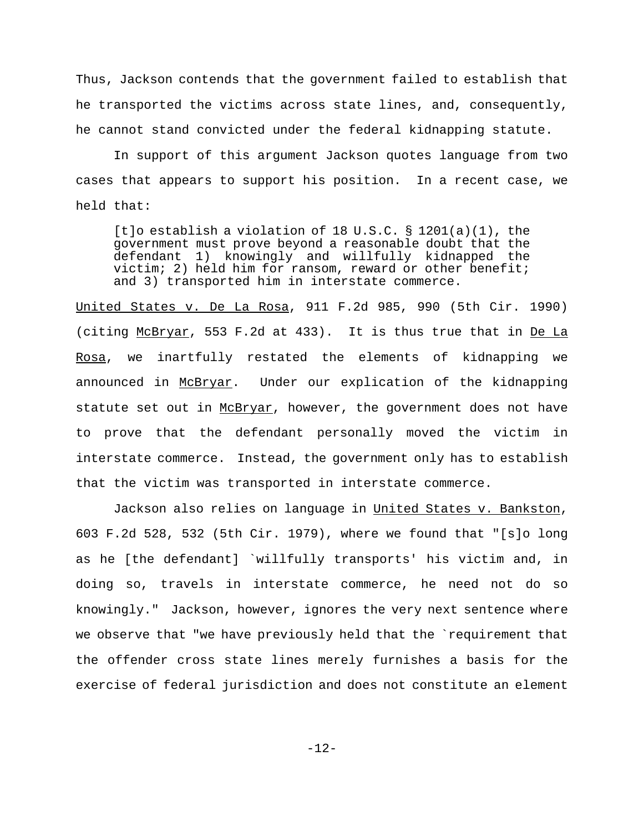Thus, Jackson contends that the government failed to establish that he transported the victims across state lines, and, consequently, he cannot stand convicted under the federal kidnapping statute.

In support of this argument Jackson quotes language from two cases that appears to support his position. In a recent case, we held that:

[t]o establish a violation of 18 U.S.C. § 1201(a)(1), the government must prove beyond a reasonable doubt that the defendant 1) knowingly and willfully kidnapped the victim; 2) held him for ransom, reward or other benefit; and 3) transported him in interstate commerce.

United States v. De La Rosa, 911 F.2d 985, 990 (5th Cir. 1990) (citing McBryar, 553 F.2d at 433). It is thus true that in De La Rosa, we inartfully restated the elements of kidnapping we announced in McBryar. Under our explication of the kidnapping statute set out in McBryar, however, the government does not have to prove that the defendant personally moved the victim in interstate commerce. Instead, the government only has to establish that the victim was transported in interstate commerce.

Jackson also relies on language in United States v. Bankston, 603 F.2d 528, 532 (5th Cir. 1979), where we found that "[s]o long as he [the defendant] `willfully transports' his victim and, in doing so, travels in interstate commerce, he need not do so knowingly." Jackson, however, ignores the very next sentence where we observe that "we have previously held that the `requirement that the offender cross state lines merely furnishes a basis for the exercise of federal jurisdiction and does not constitute an element

-12-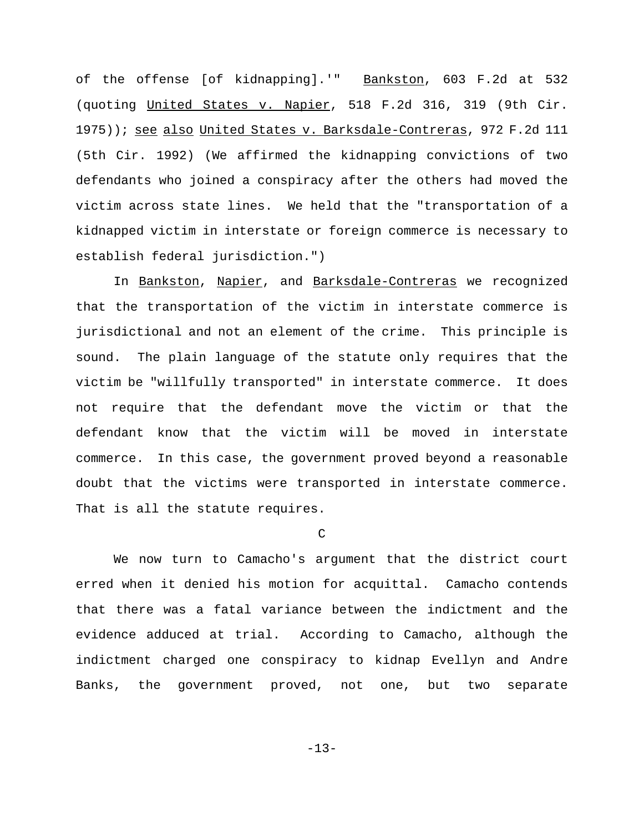of the offense [of kidnapping].'" Bankston, 603 F.2d at 532 (quoting United States v. Napier, 518 F.2d 316, 319 (9th Cir. 1975)); see also United States v. Barksdale-Contreras, 972 F.2d 111 (5th Cir. 1992) (We affirmed the kidnapping convictions of two defendants who joined a conspiracy after the others had moved the victim across state lines. We held that the "transportation of a kidnapped victim in interstate or foreign commerce is necessary to establish federal jurisdiction.")

In Bankston, Napier, and Barksdale-Contreras we recognized that the transportation of the victim in interstate commerce is jurisdictional and not an element of the crime. This principle is sound. The plain language of the statute only requires that the victim be "willfully transported" in interstate commerce. It does not require that the defendant move the victim or that the defendant know that the victim will be moved in interstate commerce. In this case, the government proved beyond a reasonable doubt that the victims were transported in interstate commerce. That is all the statute requires.

C

We now turn to Camacho's argument that the district court erred when it denied his motion for acquittal. Camacho contends that there was a fatal variance between the indictment and the evidence adduced at trial. According to Camacho, although the indictment charged one conspiracy to kidnap Evellyn and Andre Banks, the government proved, not one, but two separate

-13-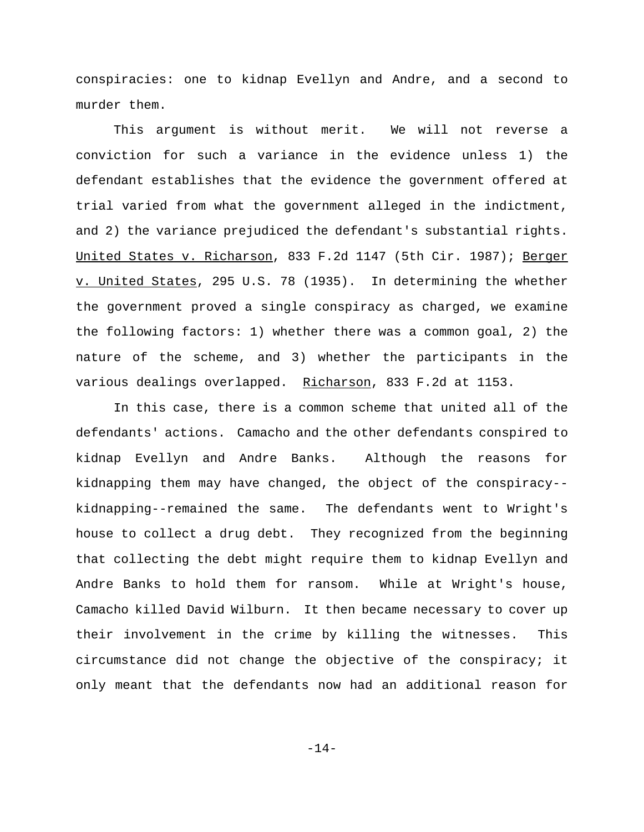conspiracies: one to kidnap Evellyn and Andre, and a second to murder them.

This argument is without merit. We will not reverse a conviction for such a variance in the evidence unless 1) the defendant establishes that the evidence the government offered at trial varied from what the government alleged in the indictment, and 2) the variance prejudiced the defendant's substantial rights. United States v. Richarson, 833 F.2d 1147 (5th Cir. 1987); Berger v. United States, 295 U.S. 78 (1935). In determining the whether the government proved a single conspiracy as charged, we examine the following factors: 1) whether there was a common goal, 2) the nature of the scheme, and 3) whether the participants in the various dealings overlapped. Richarson, 833 F.2d at 1153.

In this case, there is a common scheme that united all of the defendants' actions. Camacho and the other defendants conspired to kidnap Evellyn and Andre Banks. Although the reasons for kidnapping them may have changed, the object of the conspiracy- kidnapping--remained the same. The defendants went to Wright's house to collect a drug debt. They recognized from the beginning that collecting the debt might require them to kidnap Evellyn and Andre Banks to hold them for ransom. While at Wright's house, Camacho killed David Wilburn. It then became necessary to cover up their involvement in the crime by killing the witnesses. This circumstance did not change the objective of the conspiracy; it only meant that the defendants now had an additional reason for

-14-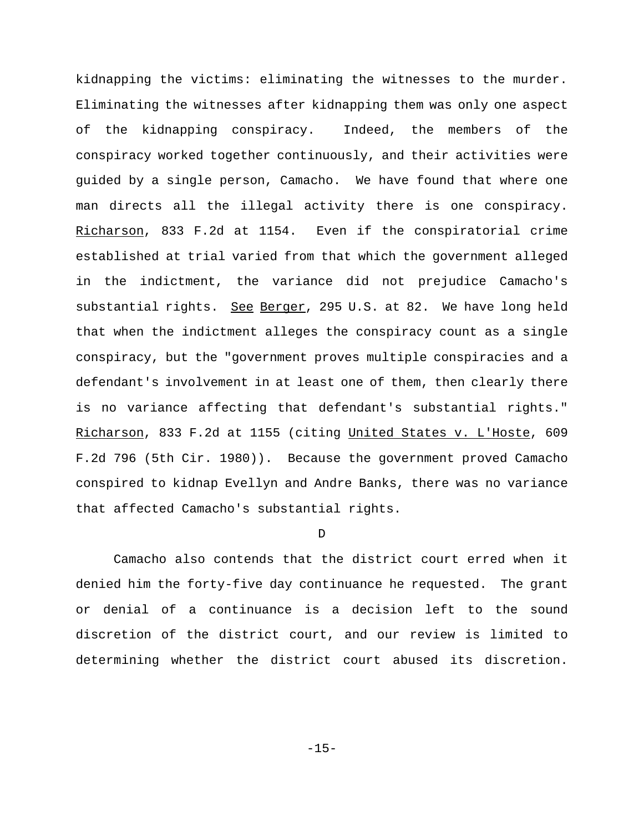kidnapping the victims: eliminating the witnesses to the murder. Eliminating the witnesses after kidnapping them was only one aspect of the kidnapping conspiracy. Indeed, the members of the conspiracy worked together continuously, and their activities were guided by a single person, Camacho. We have found that where one man directs all the illegal activity there is one conspiracy. Richarson, 833 F.2d at 1154. Even if the conspiratorial crime established at trial varied from that which the government alleged in the indictment, the variance did not prejudice Camacho's substantial rights. See Berger, 295 U.S. at 82. We have long held that when the indictment alleges the conspiracy count as a single conspiracy, but the "government proves multiple conspiracies and a defendant's involvement in at least one of them, then clearly there is no variance affecting that defendant's substantial rights." Richarson, 833 F.2d at 1155 (citing United States v. L'Hoste, 609 F.2d 796 (5th Cir. 1980)). Because the government proved Camacho conspired to kidnap Evellyn and Andre Banks, there was no variance that affected Camacho's substantial rights.

### D

Camacho also contends that the district court erred when it denied him the forty-five day continuance he requested. The grant or denial of a continuance is a decision left to the sound discretion of the district court, and our review is limited to determining whether the district court abused its discretion.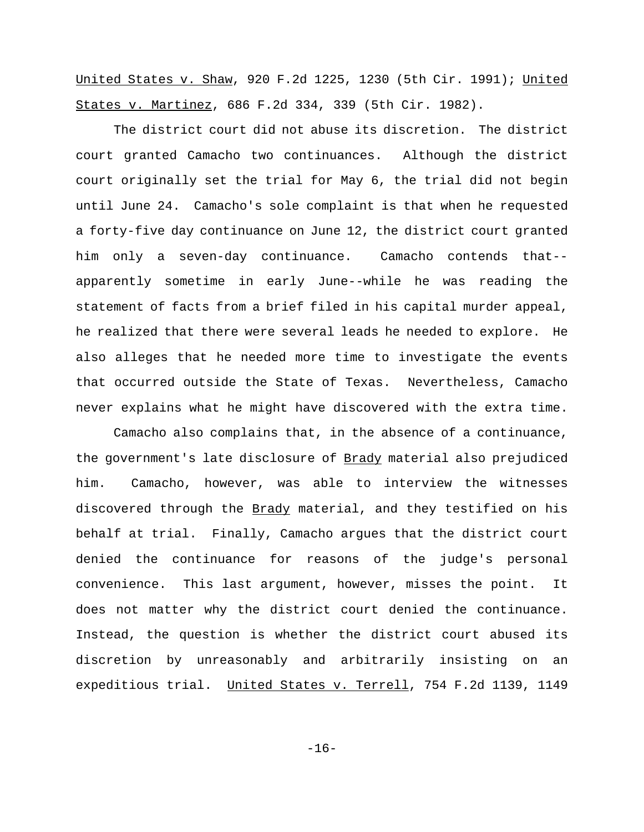United States v. Shaw, 920 F.2d 1225, 1230 (5th Cir. 1991); United States v. Martinez, 686 F.2d 334, 339 (5th Cir. 1982).

The district court did not abuse its discretion. The district court granted Camacho two continuances. Although the district court originally set the trial for May 6, the trial did not begin until June 24. Camacho's sole complaint is that when he requested a forty-five day continuance on June 12, the district court granted him only a seven-day continuance. Camacho contends that- apparently sometime in early June--while he was reading the statement of facts from a brief filed in his capital murder appeal, he realized that there were several leads he needed to explore. He also alleges that he needed more time to investigate the events that occurred outside the State of Texas. Nevertheless, Camacho never explains what he might have discovered with the extra time.

Camacho also complains that, in the absence of a continuance, the government's late disclosure of Brady material also prejudiced him. Camacho, however, was able to interview the witnesses discovered through the Brady material, and they testified on his behalf at trial. Finally, Camacho argues that the district court denied the continuance for reasons of the judge's personal convenience. This last argument, however, misses the point. It does not matter why the district court denied the continuance. Instead, the question is whether the district court abused its discretion by unreasonably and arbitrarily insisting on an expeditious trial. United States v. Terrell, 754 F.2d 1139, 1149

-16-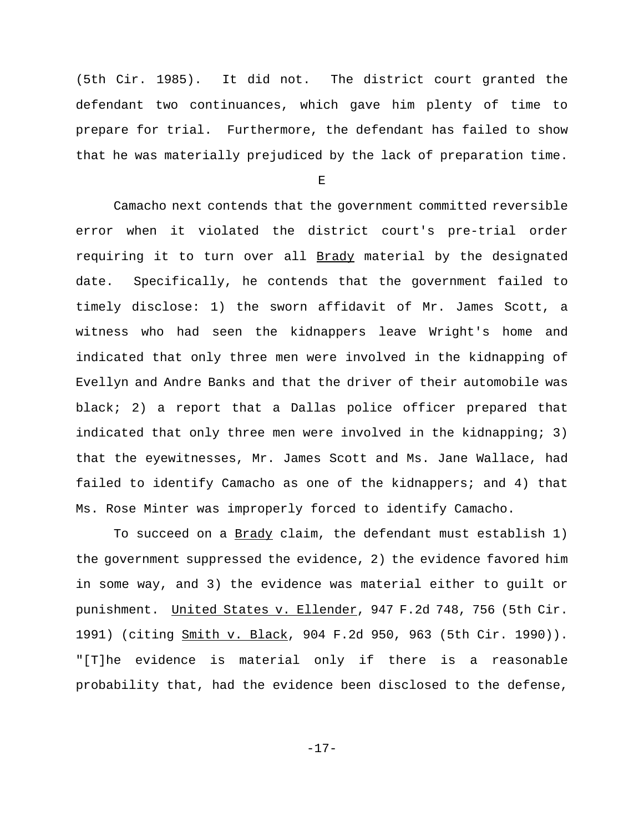(5th Cir. 1985). It did not. The district court granted the defendant two continuances, which gave him plenty of time to prepare for trial. Furthermore, the defendant has failed to show that he was materially prejudiced by the lack of preparation time.

E

Camacho next contends that the government committed reversible error when it violated the district court's pre-trial order requiring it to turn over all Brady material by the designated date. Specifically, he contends that the government failed to timely disclose: 1) the sworn affidavit of Mr. James Scott, a witness who had seen the kidnappers leave Wright's home and indicated that only three men were involved in the kidnapping of Evellyn and Andre Banks and that the driver of their automobile was black; 2) a report that a Dallas police officer prepared that indicated that only three men were involved in the kidnapping; 3) that the eyewitnesses, Mr. James Scott and Ms. Jane Wallace, had failed to identify Camacho as one of the kidnappers; and 4) that Ms. Rose Minter was improperly forced to identify Camacho.

To succeed on a Brady claim, the defendant must establish 1) the government suppressed the evidence, 2) the evidence favored him in some way, and 3) the evidence was material either to guilt or punishment. United States v. Ellender, 947 F.2d 748, 756 (5th Cir. 1991) (citing Smith v. Black, 904 F.2d 950, 963 (5th Cir. 1990)). "[T]he evidence is material only if there is a reasonable probability that, had the evidence been disclosed to the defense,

-17-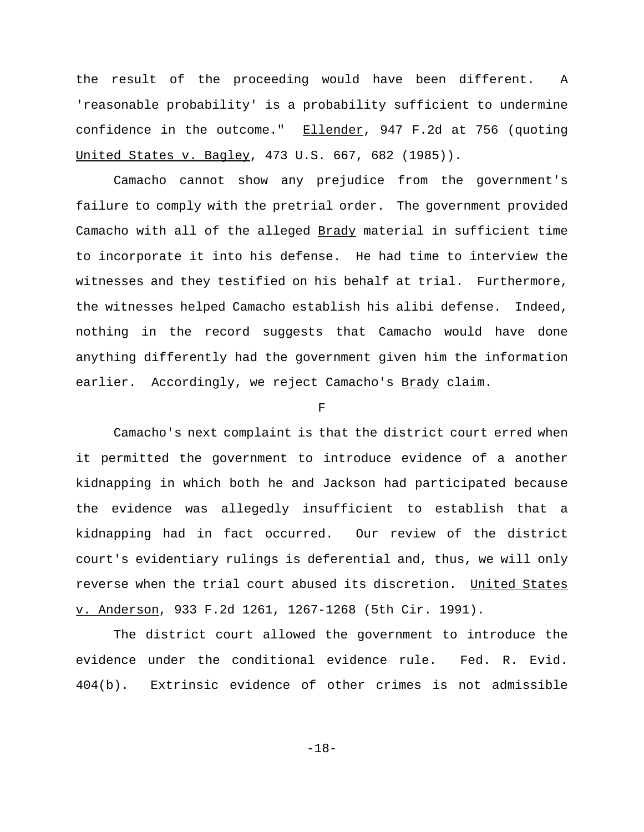the result of the proceeding would have been different. A 'reasonable probability' is a probability sufficient to undermine confidence in the outcome." Ellender, 947 F.2d at 756 (quoting United States v. Bagley, 473 U.S. 667, 682 (1985)).

Camacho cannot show any prejudice from the government's failure to comply with the pretrial order. The government provided Camacho with all of the alleged Brady material in sufficient time to incorporate it into his defense. He had time to interview the witnesses and they testified on his behalf at trial. Furthermore, the witnesses helped Camacho establish his alibi defense. Indeed, nothing in the record suggests that Camacho would have done anything differently had the government given him the information earlier. Accordingly, we reject Camacho's Brady claim.

 $\mathbf F$ 

Camacho's next complaint is that the district court erred when it permitted the government to introduce evidence of a another kidnapping in which both he and Jackson had participated because the evidence was allegedly insufficient to establish that a kidnapping had in fact occurred. Our review of the district court's evidentiary rulings is deferential and, thus, we will only reverse when the trial court abused its discretion. United States v. Anderson, 933 F.2d 1261, 1267-1268 (5th Cir. 1991).

The district court allowed the government to introduce the evidence under the conditional evidence rule. Fed. R. Evid. 404(b). Extrinsic evidence of other crimes is not admissible

-18-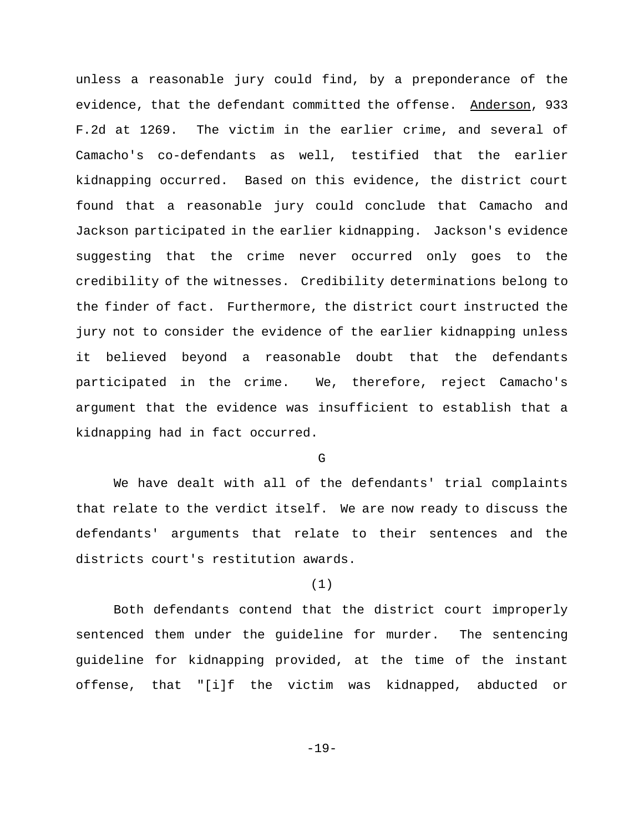unless a reasonable jury could find, by a preponderance of the evidence, that the defendant committed the offense. Anderson, 933 F.2d at 1269. The victim in the earlier crime, and several of Camacho's co-defendants as well, testified that the earlier kidnapping occurred. Based on this evidence, the district court found that a reasonable jury could conclude that Camacho and Jackson participated in the earlier kidnapping. Jackson's evidence suggesting that the crime never occurred only goes to the credibility of the witnesses. Credibility determinations belong to the finder of fact. Furthermore, the district court instructed the jury not to consider the evidence of the earlier kidnapping unless it believed beyond a reasonable doubt that the defendants participated in the crime. We, therefore, reject Camacho's argument that the evidence was insufficient to establish that a kidnapping had in fact occurred.

 $\overline{G}$ 

We have dealt with all of the defendants' trial complaints that relate to the verdict itself. We are now ready to discuss the defendants' arguments that relate to their sentences and the districts court's restitution awards.

# (1)

Both defendants contend that the district court improperly sentenced them under the guideline for murder. The sentencing guideline for kidnapping provided, at the time of the instant offense, that "[i]f the victim was kidnapped, abducted or

-19-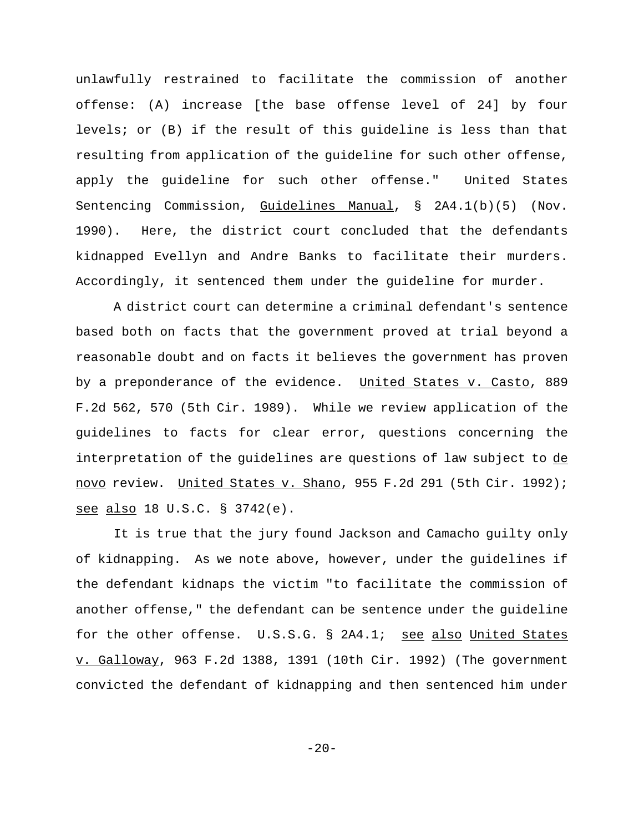unlawfully restrained to facilitate the commission of another offense: (A) increase [the base offense level of 24] by four levels; or (B) if the result of this guideline is less than that resulting from application of the guideline for such other offense, apply the guideline for such other offense." United States Sentencing Commission, Guidelines Manual, § 2A4.1(b)(5) (Nov. 1990). Here, the district court concluded that the defendants kidnapped Evellyn and Andre Banks to facilitate their murders. Accordingly, it sentenced them under the guideline for murder.

A district court can determine a criminal defendant's sentence based both on facts that the government proved at trial beyond a reasonable doubt and on facts it believes the government has proven by a preponderance of the evidence. United States v. Casto, 889 F.2d 562, 570 (5th Cir. 1989). While we review application of the guidelines to facts for clear error, questions concerning the interpretation of the guidelines are questions of law subject to de novo review. United States v. Shano, 955 F.2d 291 (5th Cir. 1992); see also 18 U.S.C. § 3742(e).

It is true that the jury found Jackson and Camacho guilty only of kidnapping. As we note above, however, under the guidelines if the defendant kidnaps the victim "to facilitate the commission of another offense," the defendant can be sentence under the guideline for the other offense. U.S.S.G. § 2A4.1; see also United States v. Galloway, 963 F.2d 1388, 1391 (10th Cir. 1992) (The government convicted the defendant of kidnapping and then sentenced him under

 $-20-$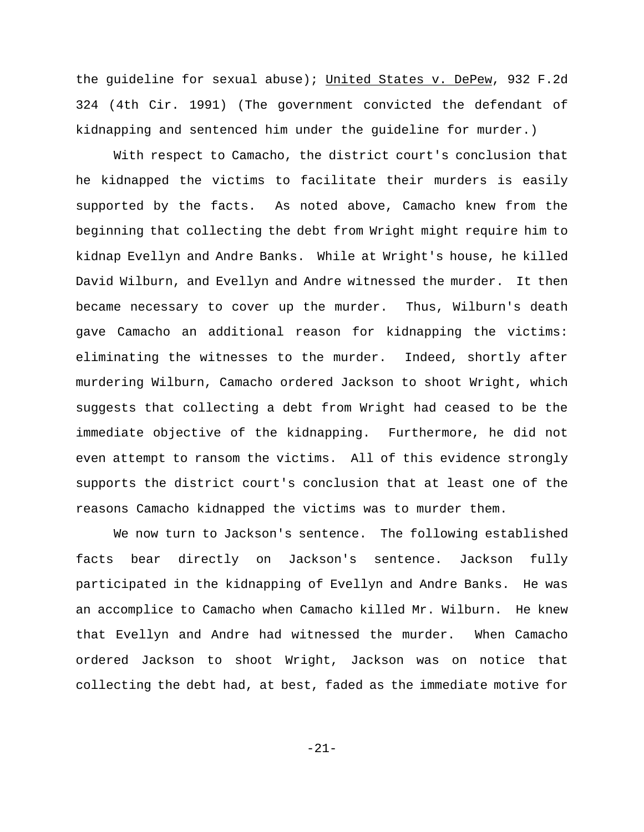the guideline for sexual abuse); United States v. DePew, 932 F.2d 324 (4th Cir. 1991) (The government convicted the defendant of kidnapping and sentenced him under the guideline for murder.)

With respect to Camacho, the district court's conclusion that he kidnapped the victims to facilitate their murders is easily supported by the facts. As noted above, Camacho knew from the beginning that collecting the debt from Wright might require him to kidnap Evellyn and Andre Banks. While at Wright's house, he killed David Wilburn, and Evellyn and Andre witnessed the murder. It then became necessary to cover up the murder. Thus, Wilburn's death gave Camacho an additional reason for kidnapping the victims: eliminating the witnesses to the murder. Indeed, shortly after murdering Wilburn, Camacho ordered Jackson to shoot Wright, which suggests that collecting a debt from Wright had ceased to be the immediate objective of the kidnapping. Furthermore, he did not even attempt to ransom the victims. All of this evidence strongly supports the district court's conclusion that at least one of the reasons Camacho kidnapped the victims was to murder them.

We now turn to Jackson's sentence. The following established facts bear directly on Jackson's sentence. Jackson fully participated in the kidnapping of Evellyn and Andre Banks. He was an accomplice to Camacho when Camacho killed Mr. Wilburn. He knew that Evellyn and Andre had witnessed the murder. When Camacho ordered Jackson to shoot Wright, Jackson was on notice that collecting the debt had, at best, faded as the immediate motive for

-21-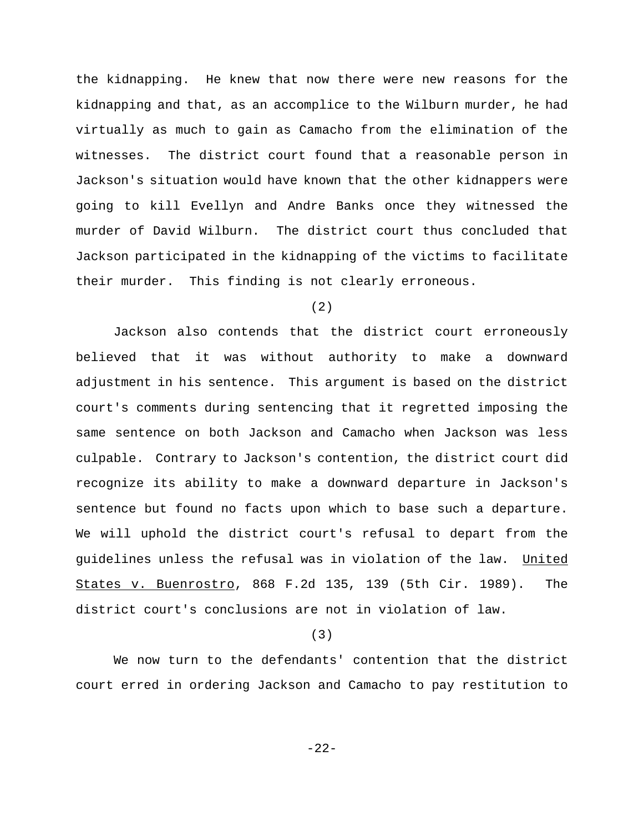the kidnapping. He knew that now there were new reasons for the kidnapping and that, as an accomplice to the Wilburn murder, he had virtually as much to gain as Camacho from the elimination of the witnesses. The district court found that a reasonable person in Jackson's situation would have known that the other kidnappers were going to kill Evellyn and Andre Banks once they witnessed the murder of David Wilburn. The district court thus concluded that Jackson participated in the kidnapping of the victims to facilitate their murder. This finding is not clearly erroneous.

## (2)

Jackson also contends that the district court erroneously believed that it was without authority to make a downward adjustment in his sentence. This argument is based on the district court's comments during sentencing that it regretted imposing the same sentence on both Jackson and Camacho when Jackson was less culpable. Contrary to Jackson's contention, the district court did recognize its ability to make a downward departure in Jackson's sentence but found no facts upon which to base such a departure. We will uphold the district court's refusal to depart from the guidelines unless the refusal was in violation of the law. United States v. Buenrostro, 868 F.2d 135, 139 (5th Cir. 1989). The district court's conclusions are not in violation of law.

### (3)

We now turn to the defendants' contention that the district court erred in ordering Jackson and Camacho to pay restitution to

-22-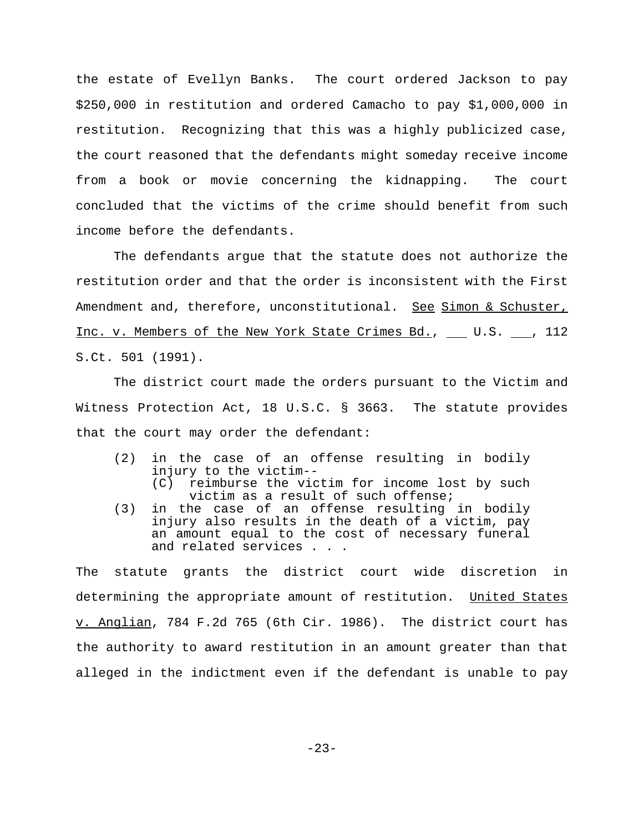the estate of Evellyn Banks. The court ordered Jackson to pay \$250,000 in restitution and ordered Camacho to pay \$1,000,000 in restitution. Recognizing that this was a highly publicized case, the court reasoned that the defendants might someday receive income from a book or movie concerning the kidnapping. The court concluded that the victims of the crime should benefit from such income before the defendants.

The defendants argue that the statute does not authorize the restitution order and that the order is inconsistent with the First Amendment and, therefore, unconstitutional. See Simon & Schuster, Inc. v. Members of the New York State Crimes Bd., \_\_ U.S. \_\_, 112 S.Ct. 501 (1991).

The district court made the orders pursuant to the Victim and Witness Protection Act, 18 U.S.C. § 3663. The statute provides that the court may order the defendant:

- (2) in the case of an offense resulting in bodily injury to the victim--
	- (C) reimburse the victim for income lost by such victim as a result of such offense;
- (3) in the case of an offense resulting in bodily injury also results in the death of a victim, pay an amount equal to the cost of necessary funeral and related services . . .

The statute grants the district court wide discretion in determining the appropriate amount of restitution. United States v. Anglian, 784 F.2d 765 (6th Cir. 1986). The district court has the authority to award restitution in an amount greater than that alleged in the indictment even if the defendant is unable to pay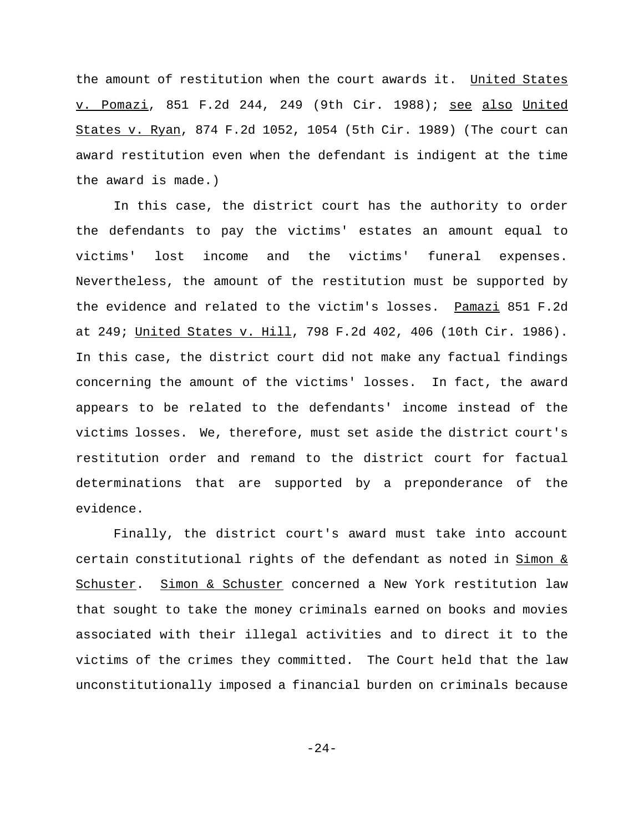the amount of restitution when the court awards it. United States v. Pomazi, 851 F.2d 244, 249 (9th Cir. 1988); see also United States v. Ryan, 874 F.2d 1052, 1054 (5th Cir. 1989) (The court can award restitution even when the defendant is indigent at the time the award is made.)

In this case, the district court has the authority to order the defendants to pay the victims' estates an amount equal to victims' lost income and the victims' funeral expenses. Nevertheless, the amount of the restitution must be supported by the evidence and related to the victim's losses. Pamazi 851 F.2d at 249; United States v. Hill, 798 F.2d 402, 406 (10th Cir. 1986). In this case, the district court did not make any factual findings concerning the amount of the victims' losses. In fact, the award appears to be related to the defendants' income instead of the victims losses. We, therefore, must set aside the district court's restitution order and remand to the district court for factual determinations that are supported by a preponderance of the evidence.

Finally, the district court's award must take into account certain constitutional rights of the defendant as noted in Simon & Schuster. Simon & Schuster concerned a New York restitution law that sought to take the money criminals earned on books and movies associated with their illegal activities and to direct it to the victims of the crimes they committed. The Court held that the law unconstitutionally imposed a financial burden on criminals because

-24-